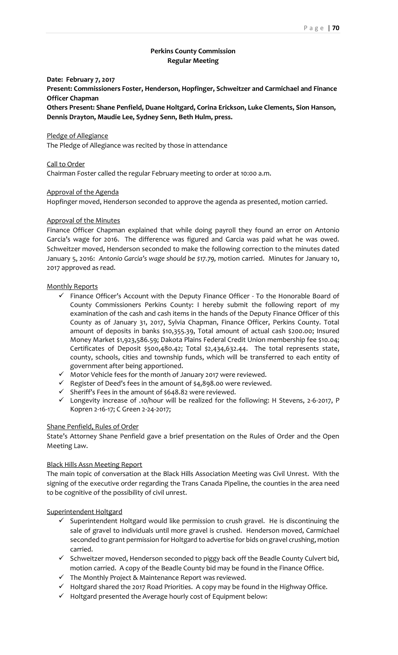# **Perkins County Commission Regular Meeting**

## **Date: February 7, 2017**

**Present: Commissioners Foster, Henderson, Hopfinger, Schweitzer and Carmichael and Finance Officer Chapman**

**Others Present: Shane Penfield, Duane Holtgard, Corina Erickson, Luke Clements, Sion Hanson, Dennis Drayton, Maudie Lee, Sydney Senn, Beth Hulm, press.**

#### Pledge of Allegiance

The Pledge of Allegiance was recited by those in attendance

## Call to Order

Chairman Foster called the regular February meeting to order at 10:00 a.m.

## Approval of the Agenda

Hopfinger moved, Henderson seconded to approve the agenda as presented, motion carried.

#### Approval of the Minutes

Finance Officer Chapman explained that while doing payroll they found an error on Antonio Garcia's wage for 2016. The difference was figured and Garcia was paid what he was owed. Schweitzer moved, Henderson seconded to make the following correction to the minutes dated January 5, 2016: *Antonio Garcia's wage should be \$17.79,* motion carried. Minutes for January 10, 2017 approved as read.

### Monthly Reports

- $\checkmark$  Finance Officer's Account with the Deputy Finance Officer To the Honorable Board of County Commissioners Perkins County: I hereby submit the following report of my examination of the cash and cash items in the hands of the Deputy Finance Officer of this County as of January 31, 2017, Sylvia Chapman, Finance Officer, Perkins County. Total amount of deposits in banks \$10,355.39, Total amount of actual cash \$200.00; Insured Money Market \$1,923,586.59; Dakota Plains Federal Credit Union membership fee \$10.04; Certificates of Deposit \$500,480.42; Total \$2,434,632.44. The total represents state, county, schools, cities and township funds, which will be transferred to each entity of government after being apportioned.
- $\checkmark$  Motor Vehicle fees for the month of January 2017 were reviewed.
- $\checkmark$  Register of Deed's fees in the amount of \$4,898.00 were reviewed.
- $\checkmark$  Sheriff's Fees in the amount of \$648.82 were reviewed.
- Longevity increase of .10/hour will be realized for the following: H Stevens, 2-6-2017, P Kopren 2-16-17; C Green 2-24-2017;

#### Shane Penfield, Rules of Order

State's Attorney Shane Penfield gave a brief presentation on the Rules of Order and the Open Meeting Law.

## Black Hills Assn Meeting Report

The main topic of conversation at the Black Hills Association Meeting was Civil Unrest. With the signing of the executive order regarding the Trans Canada Pipeline, the counties in the area need to be cognitive of the possibility of civil unrest.

## Superintendent Holtgard

- $\checkmark$  Superintendent Holtgard would like permission to crush gravel. He is discontinuing the sale of gravel to individuals until more gravel is crushed. Henderson moved, Carmichael seconded to grant permission for Holtgard to advertise for bids on gravel crushing, motion carried.
- $\checkmark$  Schweitzer moved, Henderson seconded to piggy back off the Beadle County Culvert bid, motion carried. A copy of the Beadle County bid may be found in the Finance Office.
- $\checkmark$  The Monthly Project & Maintenance Report was reviewed.
- $\checkmark$  Holtgard shared the 2017 Road Priorities. A copy may be found in the Highway Office.
- $\checkmark$  Holtgard presented the Average hourly cost of Equipment below: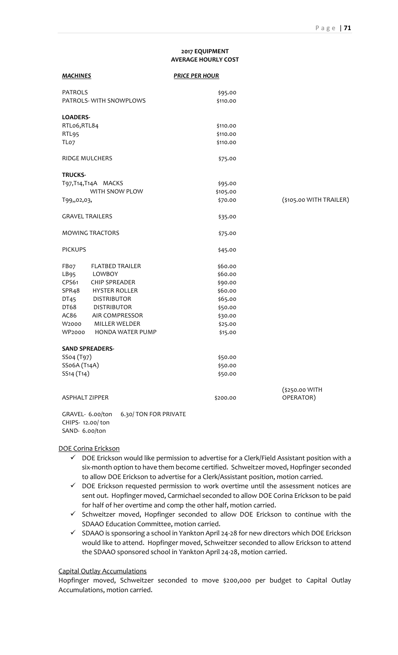# **2017 EQUIPMENT**

|                                     |                         | 2017 EQUIPMENT<br><b>AVERAGE HOURLY COST</b> |                         |
|-------------------------------------|-------------------------|----------------------------------------------|-------------------------|
| <b>MACHINES</b>                     |                         | <b>PRICE PER HOUR</b>                        |                         |
| <b>PATROLS</b>                      |                         | \$95.00                                      |                         |
|                                     | PATROLS-WITH SNOWPLOWS  | \$110.00                                     |                         |
| <b>LOADERS-</b>                     |                         |                                              |                         |
| RTLo6,RTL84                         |                         | \$110.00                                     |                         |
| RTL95                               |                         | \$110.00                                     |                         |
| TLo <sub>7</sub>                    |                         | \$110.00                                     |                         |
| <b>RIDGE MULCHERS</b>               |                         | \$75.00                                      |                         |
| <b>TRUCKS-</b>                      |                         |                                              |                         |
|                                     | T97, T14, T14A MACKS    | \$95.00                                      |                         |
|                                     | WITH SNOW PLOW          | \$105.00                                     |                         |
| T99,,02,03,                         |                         | \$70.00                                      | (\$105.00 WITH TRAILER) |
| <b>GRAVEL TRAILERS</b>              |                         | \$35.00                                      |                         |
|                                     | <b>MOWING TRACTORS</b>  | \$75.00                                      |                         |
| <b>PICKUPS</b>                      |                         | \$45.00                                      |                         |
| FBo7                                | <b>FLATBED TRAILER</b>  | \$60.00                                      |                         |
| LB95                                | LOWBOY                  | \$60.00                                      |                         |
| CPS61                               | <b>CHIP SPREADER</b>    | \$90.00                                      |                         |
| SPR <sub>4</sub> 8                  | <b>HYSTER ROLLER</b>    | \$60.00                                      |                         |
| DT45                                | <b>DISTRIBUTOR</b>      | \$65.00                                      |                         |
| DT68                                | <b>DISTRIBUTOR</b>      | \$50.00                                      |                         |
| AC86                                | <b>AIR COMPRESSOR</b>   | \$30.00                                      |                         |
| W2000                               | <b>MILLER WELDER</b>    | \$25.00                                      |                         |
| WP2000                              | <b>HONDA WATER PUMP</b> | \$15.00                                      |                         |
| <b>SAND SPREADERS-</b>              |                         |                                              |                         |
| SSo4 (T97)                          |                         | \$50.00                                      |                         |
| SSo6A (T14A)                        |                         | \$50.00                                      |                         |
| SS <sub>14</sub> (T <sub>14</sub> ) |                         | \$50.00                                      |                         |
|                                     |                         |                                              | (\$250.00 WITH          |
| <b>ASPHALT ZIPPER</b>               |                         | \$200.00                                     | OPERATOR)               |

GRAVEL- 6.00/ton 6.30/ TON FOR PRIVATE CHIPS- 12.00/ ton SAND- 6.00/ton

DOE Corina Erickson

- $\checkmark$  DOE Erickson would like permission to advertise for a Clerk/Field Assistant position with a six-month option to have them become certified. Schweitzer moved, Hopfinger seconded to allow DOE Erickson to advertise for a Clerk/Assistant position, motion carried.
- $\checkmark$  DOE Erickson requested permission to work overtime until the assessment notices are sent out. Hopfinger moved, Carmichael seconded to allow DOE Corina Erickson to be paid for half of her overtime and comp the other half, motion carried.
- $\checkmark$  Schweitzer moved, Hopfinger seconded to allow DOE Erickson to continue with the SDAAO Education Committee, motion carried.
- $\checkmark$  SDAAO is sponsoring a school in Yankton April 24-28 for new directors which DOE Erickson would like to attend. Hopfinger moved, Schweitzer seconded to allow Erickson to attend the SDAAO sponsored school in Yankton April 24-28, motion carried.

## Capital Outlay Accumulations

Hopfinger moved, Schweitzer seconded to move \$200,000 per budget to Capital Outlay Accumulations, motion carried.